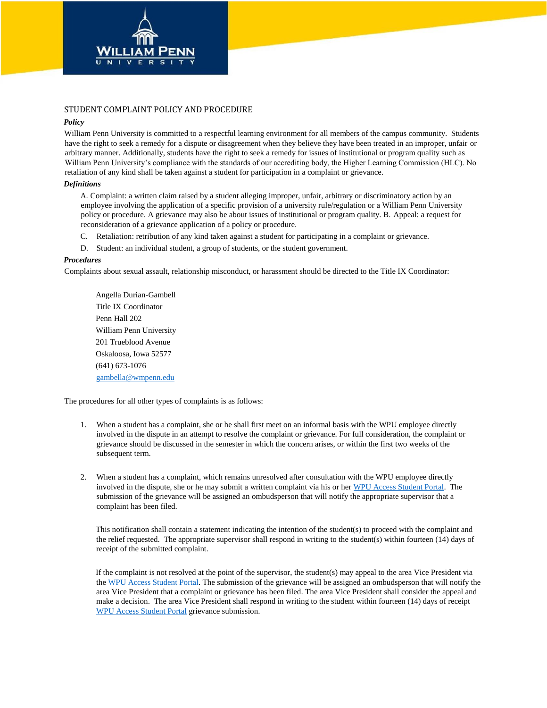

# STUDENT COMPLAINT POLICY AND PROCEDURE

## *Policy*

William Penn University is committed to a respectful learning environment for all members of the campus community. Students have the right to seek a remedy for a dispute or disagreement when they believe they have been treated in an improper, unfair or arbitrary manner. Additionally, students have the right to seek a remedy for issues of institutional or program quality such as William Penn University's compliance with the standards of our accrediting body, the Higher Learning Commission (HLC). No retaliation of any kind shall be taken against a student for participation in a complaint or grievance.

### *Definitions*

A. Complaint: a written claim raised by a student alleging improper, unfair, arbitrary or discriminatory action by an employee involving the application of a specific provision of a university rule/regulation or a William Penn University policy or procedure. A grievance may also be about issues of institutional or program quality. B. Appeal: a request for reconsideration of a grievance application of a policy or procedure.

- C. Retaliation: retribution of any kind taken against a student for participating in a complaint or grievance.
- D. Student: an individual student, a group of students, or the student government.

### *Procedures*

Complaints about sexual assault, relationship misconduct, or harassment should be directed to the Title IX Coordinator:

Angella Durian-Gambell Title IX Coordinator Penn Hall 202 William Penn University 201 Trueblood Avenue Oskaloosa, Iowa 52577 (641) 673-1076 [gambella@wmpenn.edu](mailto:gambella@wmpenn.edu)

The procedures for all other types of complaints is as follows:

- 1. When a student has a complaint, she or he shall first meet on an informal basis with the WPU employee directly involved in the dispute in an attempt to resolve the complaint or grievance. For full consideration, the complaint or grievance should be discussed in the semester in which the concern arises, or within the first two weeks of the subsequent term.
- 2. When a student has a complaint, which remains unresolved after consultation with the WPU employee directly involved in the dispute, she or he may submit a written complaint via his or he[r WPU Access Student Portal.](https://student.wmpenn.edu/studentComplaint.asp) The submission of the grievance will be assigned an ombudsperson that will notify the appropriate supervisor that a complaint has been filed.

This notification shall contain a statement indicating the intention of the student(s) to proceed with the complaint and the relief requested. The appropriate supervisor shall respond in writing to the student(s) within fourteen (14) days of receipt of the submitted complaint.

If the complaint is not resolved at the point of the supervisor, the student(s) may appeal to the area Vice President via the [WPU Access Student Portal.](https://student.wmpenn.edu/studentComplaint.asp) The submission of the grievance will be assigned an ombudsperson that will notify the area Vice President that a complaint or grievance has been filed. The area Vice President shall consider the appeal and make a decision. The area Vice President shall respond in writing to the student within fourteen (14) days of receipt [WPU Access Student Portal](https://student.wmpenn.edu/studentComplaint.asp) grievance submission.